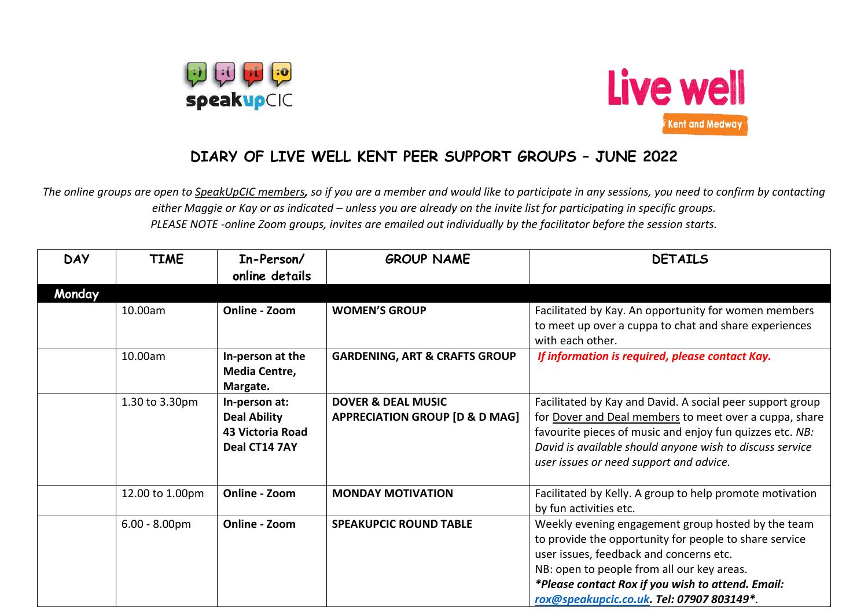



## **DIARY OF LIVE WELL KENT PEER SUPPORT GROUPS – JUNE 2022**

*The online groups are open to SpeakUpCIC members, so if you are a member and would like to participate in any sessions, you need to confirm by contacting either Maggie or Kay or as indicated – unless you are already on the invite list for participating in specific groups. PLEASE NOTE -online Zoom groups, invites are emailed out individually by the facilitator before the session starts.*

| <b>DAY</b> | <b>TIME</b>     | In-Person/<br>online details                                              | <b>GROUP NAME</b>                                                          | <b>DETAILS</b>                                                                                                                                                                                                                                                                                          |
|------------|-----------------|---------------------------------------------------------------------------|----------------------------------------------------------------------------|---------------------------------------------------------------------------------------------------------------------------------------------------------------------------------------------------------------------------------------------------------------------------------------------------------|
| Monday     |                 |                                                                           |                                                                            |                                                                                                                                                                                                                                                                                                         |
|            | 10.00am         | Online - Zoom                                                             | <b>WOMEN'S GROUP</b>                                                       | Facilitated by Kay. An opportunity for women members<br>to meet up over a cuppa to chat and share experiences<br>with each other.                                                                                                                                                                       |
|            | 10.00am         | In-person at the<br>Media Centre,<br>Margate.                             | <b>GARDENING, ART &amp; CRAFTS GROUP</b>                                   | If information is required, please contact Kay.                                                                                                                                                                                                                                                         |
|            | 1.30 to 3.30pm  | In-person at:<br><b>Deal Ability</b><br>43 Victoria Road<br>Deal CT14 7AY | <b>DOVER &amp; DEAL MUSIC</b><br><b>APPRECIATION GROUP [D &amp; D MAG]</b> | Facilitated by Kay and David. A social peer support group<br>for Dover and Deal members to meet over a cuppa, share<br>favourite pieces of music and enjoy fun quizzes etc. NB:<br>David is available should anyone wish to discuss service<br>user issues or need support and advice.                  |
|            | 12.00 to 1.00pm | Online - Zoom                                                             | <b>MONDAY MOTIVATION</b>                                                   | Facilitated by Kelly. A group to help promote motivation<br>by fun activities etc.                                                                                                                                                                                                                      |
|            | $6.00 - 8.00pm$ | Online - Zoom                                                             | <b>SPEAKUPCIC ROUND TABLE</b>                                              | Weekly evening engagement group hosted by the team<br>to provide the opportunity for people to share service<br>user issues, feedback and concerns etc.<br>NB: open to people from all our key areas.<br>*Please contact Rox if you wish to attend. Email:<br>rox@speakupcic.co.uk. Tel: 07907 803149*. |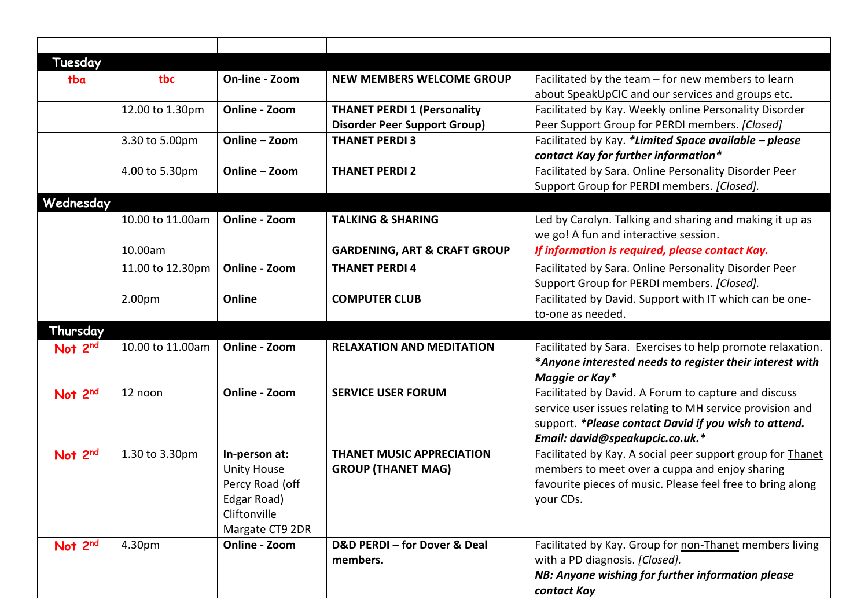| Tuesday             |                  |                                  |                                         |                                                            |
|---------------------|------------------|----------------------------------|-----------------------------------------|------------------------------------------------------------|
| tba                 | tbc              | On-line - Zoom                   | <b>NEW MEMBERS WELCOME GROUP</b>        | Facilitated by the team - for new members to learn         |
|                     |                  |                                  |                                         | about SpeakUpCIC and our services and groups etc.          |
|                     | 12.00 to 1.30pm  | Online - Zoom                    | <b>THANET PERDI 1 (Personality</b>      | Facilitated by Kay. Weekly online Personality Disorder     |
|                     |                  |                                  | <b>Disorder Peer Support Group)</b>     | Peer Support Group for PERDI members. [Closed]             |
|                     | 3.30 to 5.00pm   | Online - Zoom                    | <b>THANET PERDI3</b>                    | Facilitated by Kay. *Limited Space available - please      |
|                     |                  |                                  |                                         | contact Kay for further information*                       |
|                     | 4.00 to 5.30pm   | Online - Zoom                    | <b>THANET PERDI 2</b>                   | Facilitated by Sara. Online Personality Disorder Peer      |
|                     |                  |                                  |                                         | Support Group for PERDI members. [Closed].                 |
| Wednesday           |                  |                                  |                                         |                                                            |
|                     | 10.00 to 11.00am | Online - Zoom                    | <b>TALKING &amp; SHARING</b>            | Led by Carolyn. Talking and sharing and making it up as    |
|                     |                  |                                  |                                         | we go! A fun and interactive session.                      |
|                     | 10.00am          |                                  | <b>GARDENING, ART &amp; CRAFT GROUP</b> | If information is required, please contact Kay.            |
|                     | 11.00 to 12.30pm | Online - Zoom                    | <b>THANET PERDI 4</b>                   | Facilitated by Sara. Online Personality Disorder Peer      |
|                     |                  |                                  |                                         | Support Group for PERDI members. [Closed].                 |
|                     | 2.00pm           | Online                           | <b>COMPUTER CLUB</b>                    | Facilitated by David. Support with IT which can be one-    |
|                     |                  |                                  |                                         | to-one as needed.                                          |
| Thursday            |                  |                                  |                                         |                                                            |
| Not 2 <sup>nd</sup> | 10.00 to 11.00am | Online - Zoom                    | <b>RELAXATION AND MEDITATION</b>        | Facilitated by Sara. Exercises to help promote relaxation. |
|                     |                  |                                  |                                         | *Anyone interested needs to register their interest with   |
|                     |                  |                                  |                                         | Maggie or Kay*                                             |
| Not 2nd             | 12 noon          | Online - Zoom                    | <b>SERVICE USER FORUM</b>               | Facilitated by David. A Forum to capture and discuss       |
|                     |                  |                                  |                                         | service user issues relating to MH service provision and   |
|                     |                  |                                  |                                         | support. *Please contact David if you wish to attend.      |
|                     |                  |                                  |                                         | Email: david@speakupcic.co.uk.*                            |
| Not 2nd             | 1.30 to 3.30pm   | In-person at:                    | <b>THANET MUSIC APPRECIATION</b>        | Facilitated by Kay. A social peer support group for Thanet |
|                     |                  | <b>Unity House</b>               | <b>GROUP (THANET MAG)</b>               | members to meet over a cuppa and enjoy sharing             |
|                     |                  | Percy Road (off                  |                                         | favourite pieces of music. Please feel free to bring along |
|                     |                  | Edgar Road)<br>Cliftonville      |                                         | your CDs.                                                  |
|                     |                  |                                  |                                         |                                                            |
| Not 2nd             | 4.30pm           | Margate CT9 2DR<br>Online - Zoom | D&D PERDI - for Dover & Deal            | Facilitated by Kay. Group for non-Thanet members living    |
|                     |                  |                                  | members.                                | with a PD diagnosis. [Closed].                             |
|                     |                  |                                  |                                         | NB: Anyone wishing for further information please          |
|                     |                  |                                  |                                         | contact Kay                                                |